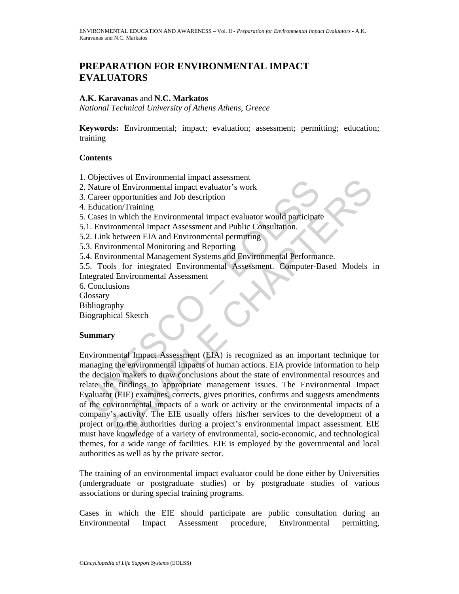# **PREPARATION FOR ENVIRONMENTAL IMPACT EVALUATORS**

### **A.K. Karavanas** and **N.C. Markatos**

*National Technical University of Athens Athens, Greece* 

**Keywords:** Environmental; impact; evaluation; assessment; permitting; education; training

# **Contents**

- 1. Objectives of Environmental impact assessment
- 2. Nature of Environmental impact evaluator's work
- 3. Career opportunities and Job description
- 4. Education/Training
- 5. Cases in which the Environmental impact evaluator would participate
- 5.1. Environmental Impact Assessment and Public Consultation.
- 5.2. Link between EIA and Environmental permitting
- 5.3. Environmental Monitoring and Reporting
- 5.4. Environmental Management Systems and Environmental Performance.

5.5. Tools for integrated Environmental Assessment. Computer-Based Models in Integrated Environmental Assessment

- 6. Conclusions
- **Glossary**
- Bibliography
- Biographical Sketch

### **Summary**

Collectives or Entwindmental impact assessment<br>
Nature of Environmental impact evaluator's work<br>
Career opportunities and Job description<br>
Education/Training<br>
Cases in which the Environmental impact evaluator would partici The solution metalling and the ends assessment<br>
or of Environmental impact assessment<br>
or of Environmental impact assessment and Public Consultation.<br>
The multiple consultation in the Environmental impact evaluator's work<br> Environmental Impact Assessment (EIA) is recognized as an important technique for managing the environmental impacts of human actions. EIA provide information to help the decision makers to draw conclusions about the state of environmental resources and relate the findings to appropriate management issues. The Environmental Impact Evaluator (EIE) examines, corrects, gives priorities, confirms and suggests amendments of the environmental impacts of a work or activity or the environmental impacts of a company's activity. The EIE usually offers his/her services to the development of a project or to the authorities during a project's environmental impact assessment. EIE must have knowledge of a variety of environmental, socio-economic, and technological themes, for a wide range of facilities. EIE is employed by the governmental and local authorities as well as by the private sector.

The training of an environmental impact evaluator could be done either by Universities (undergraduate or postgraduate studies) or by postgraduate studies of various associations or during special training programs.

Cases in which the EIE should participate are public consultation during an Environmental Impact Assessment procedure, Environmental permitting,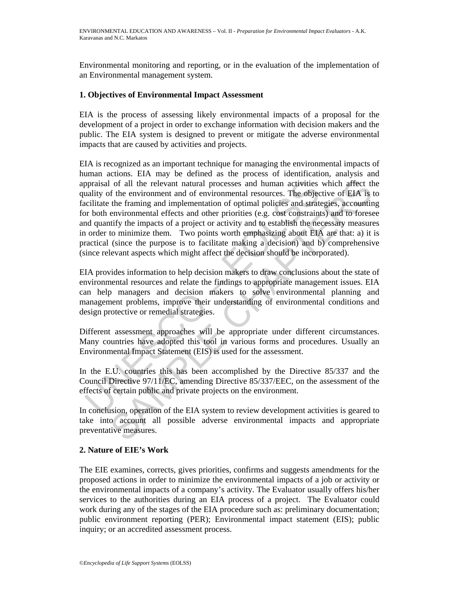Environmental monitoring and reporting, or in the evaluation of the implementation of an Environmental management system.

# **1. Objectives of Environmental Impact Assessment**

EIA is the process of assessing likely environmental impacts of a proposal for the development of a project in order to exchange information with decision makers and the public. The EIA system is designed to prevent or mitigate the adverse environmental impacts that are caused by activities and projects.

paraisal of all the relevant natural processes and human activities<br>aulity of the environment and of environmental resources. The objec-<br>cilitate the framing and implementation of optimal policies and strate<br>or both enviro of all the relevant natural processes and human activities which affect the environment and of environmental resources. The objective of EIA is the framing and implementation of optimal policies and strategies, accounting EIA is recognized as an important technique for managing the environmental impacts of human actions. EIA may be defined as the process of identification, analysis and appraisal of all the relevant natural processes and human activities which affect the quality of the environment and of environmental resources. The objective of EIA is to facilitate the framing and implementation of optimal policies and strategies, accounting for both environmental effects and other priorities (e.g. cost constraints) and to foresee and quantify the impacts of a project or activity and to establish the necessary measures in order to minimize them. Two points worth emphasizing about EIA are that: a) it is practical (since the purpose is to facilitate making a decision) and b) comprehensive (since relevant aspects which might affect the decision should be incorporated).

EIA provides information to help decision makers to draw conclusions about the state of environmental resources and relate the findings to appropriate management issues. EIA can help managers and decision makers to solve environmental planning and management problems, improve their understanding of environmental conditions and design protective or remedial strategies.

Different assessment approaches will be appropriate under different circumstances. Many countries have adopted this tool in various forms and procedures. Usually an Environmental Impact Statement (EIS) is used for the assessment.

In the E.U. countries this has been accomplished by the Directive 85/337 and the Council Directive 97/11/EC, amending Directive 85/337/EEC, on the assessment of the effects of certain public and private projects on the environment.

In conclusion, operation of the EIA system to review development activities is geared to take into account all possible adverse environmental impacts and appropriate preventative measures.

### **2. Nature of EIE's Work**

The EIE examines, corrects, gives priorities, confirms and suggests amendments for the proposed actions in order to minimize the environmental impacts of a job or activity or the environmental impacts of a company's activity. The Evaluator usually offers his/her services to the authorities during an EIA process of a project. The Evaluator could work during any of the stages of the EIA procedure such as: preliminary documentation; public environment reporting (PER); Environmental impact statement (EIS); public inquiry; or an accredited assessment process.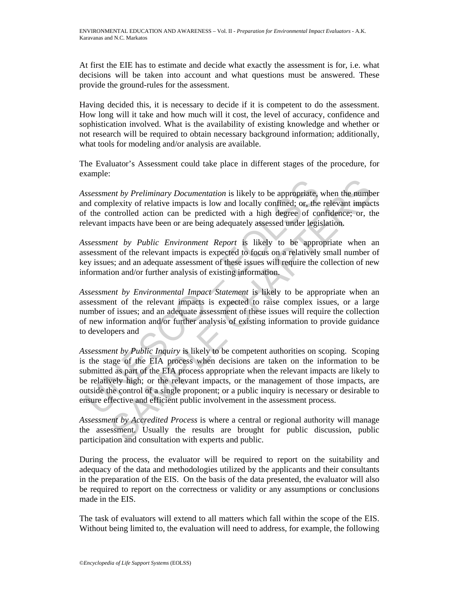At first the EIE has to estimate and decide what exactly the assessment is for, i.e. what decisions will be taken into account and what questions must be answered. These provide the ground-rules for the assessment.

Having decided this, it is necessary to decide if it is competent to do the assessment. How long will it take and how much will it cost, the level of accuracy, confidence and sophistication involved. What is the availability of existing knowledge and whether or not research will be required to obtain necessary background information; additionally, what tools for modeling and/or analysis are available.

The Evaluator's Assessment could take place in different stages of the procedure, for example:

*Assessment by Preliminary Documentation* is likely to be appropriate, when the number and complexity of relative impacts is low and locally confined; or, the relevant impacts of the controlled action can be predicted with a high degree of confidence; or, the relevant impacts have been or are being adequately assessed under legislation.

*Assessment by Public Environment Report* is likely to be appropriate when an assessment of the relevant impacts is expected to focus on a relatively small number of key issues; and an adequate assessment of these issues will require the collection of new information and/or further analysis of existing information.

*Assessment by Environmental Impact Statement* is likely to be appropriate when an assessment of the relevant impacts is expected to raise complex issues, or a large number of issues; and an adequate assessment of these issues will require the collection of new information and/or further analysis of existing information to provide guidance to developers and

ssessment by Preliminary Documentation is likely to be appropriate, and complexity of relative impacts is low and locally confined; or, the f the controlled action can be predicted with a high degree of coelevant impacts h ent by Preliminary Documentation is likely to be appropriate, when the numbelexity of relative impacts is low and locally confined; or, the relevant impact monotrolled action can be predicted with a high degree of confiden *Assessment by Public Inquiry* is likely to be competent authorities on scoping. Scoping is the stage of the EIA process when decisions are taken on the information to be submitted as part of the EIA process appropriate when the relevant impacts are likely to be relatively high; or the relevant impacts, or the management of those impacts, are outside the control of a single proponent; or a public inquiry is necessary or desirable to ensure effective and efficient public involvement in the assessment process.

*Assessment by Accredited Process* is where a central or regional authority will manage the assessment. Usually the results are brought for public discussion, public participation and consultation with experts and public.

During the process, the evaluator will be required to report on the suitability and adequacy of the data and methodologies utilized by the applicants and their consultants in the preparation of the EIS. On the basis of the data presented, the evaluator will also be required to report on the correctness or validity or any assumptions or conclusions made in the EIS.

The task of evaluators will extend to all matters which fall within the scope of the EIS. Without being limited to, the evaluation will need to address, for example, the following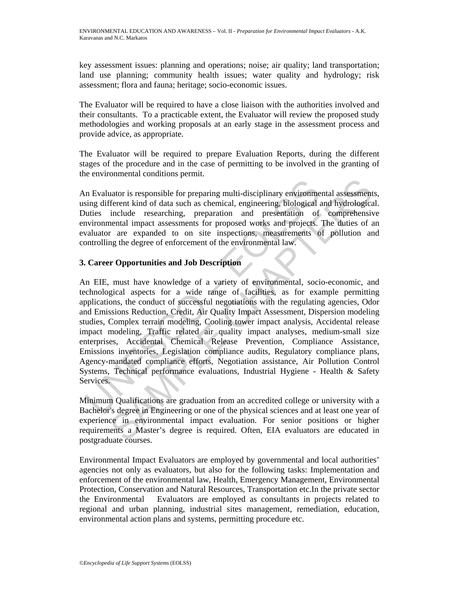key assessment issues: planning and operations; noise; air quality; land transportation; land use planning; community health issues; water quality and hydrology; risk assessment; flora and fauna; heritage; socio-economic issues.

The Evaluator will be required to have a close liaison with the authorities involved and their consultants. To a practicable extent, the Evaluator will review the proposed study methodologies and working proposals at an early stage in the assessment process and provide advice, as appropriate.

The Evaluator will be required to prepare Evaluation Reports, during the different stages of the procedure and in the case of permitting to be involved in the granting of the environmental conditions permit.

An Evaluator is responsible for preparing multi-disciplinary environmental assessments, using different kind of data such as chemical, engineering, biological and hydrological. Duties include researching, preparation and presentation of comprehensive environmental impact assessments for proposed works and projects. The duties of an evaluator are expanded to on site inspections, measurements of pollution and controlling the degree of enforcement of the environmental law.

# **3. Career Opportunities and Job Description**

In Evaluator is responsible for preparing multi-disciplinary environmesing different kind of data such as chemical, engineering, biological antities include researching, preparation and presentation of any incommental impa nator is responsible for preparing multi-disciplinary environmental assessment<br>Ferent kind of data such as chemical, engineering, biological and hydrologica<br>include researching, preparation and presentation of comprehensiv An EIE, must have knowledge of a variety of environmental, socio-economic, and technological aspects for a wide range of facilities, as for example permitting applications, the conduct of successful negotiations with the regulating agencies, Odor and Emissions Reduction, Credit, Air Quality Impact Assessment, Dispersion modeling studies, Complex terrain modeling, Cooling tower impact analysis, Accidental release impact modeling, Traffic related air quality impact analyses, medium-small size enterprises, Accidental Chemical Release Prevention, Compliance Assistance, Emissions inventories, Legislation compliance audits, Regulatory compliance plans, Agency-mandated compliance efforts, Negotiation assistance, Air Pollution Control Systems, Technical performance evaluations, Industrial Hygiene - Health & Safety Services.

Minimum Qualifications are graduation from an accredited college or university with a Bachelor's degree in Engineering or one of the physical sciences and at least one year of experience in environmental impact evaluation. For senior positions or higher requirements a Master's degree is required. Often, EIA evaluators are educated in postgraduate courses.

Environmental Impact Evaluators are employed by governmental and local authorities' agencies not only as evaluators, but also for the following tasks: Implementation and enforcement of the environmental law, Health, Emergency Management, Environmental Protection, Conservation and Natural Resources, Transportation etc.In the private sector the Environmental Evaluators are employed as consultants in projects related to regional and urban planning, industrial sites management, remediation, education, environmental action plans and systems, permitting procedure etc.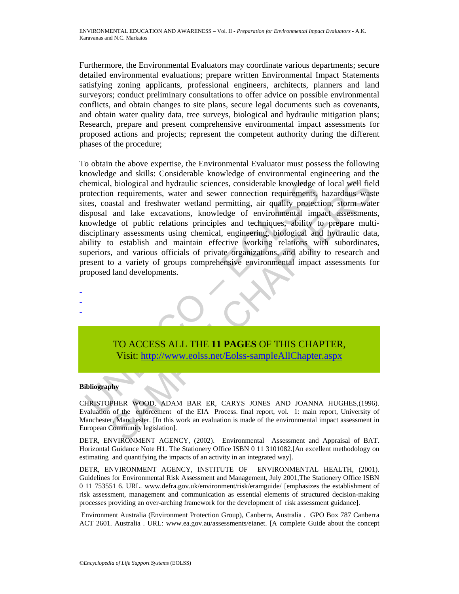Furthermore, the Environmental Evaluators may coordinate various departments; secure detailed environmental evaluations; prepare written Environmental Impact Statements satisfying zoning applicants, professional engineers, architects, planners and land surveyors; conduct preliminary consultations to offer advice on possible environmental conflicts, and obtain changes to site plans, secure legal documents such as covenants, and obtain water quality data, tree surveys, biological and hydraulic mitigation plans; Research, prepare and present comprehensive environmental impact assessments for proposed actions and projects; represent the competent authority during the different phases of the procedure;

themical, biological and hydraulic sciences, considerable knowledge consterion requirements, water and sewer connection requirements, the constellant freshwater weltand permitting, air quality protections is<br>posoal and hak Notional and hydraulic sciences, considerable knowledge of local well field<br>an equirements, water and sever connection requirements, hazardous was<br>start and freshwater welland premiting, air quality protection, storm watte To obtain the above expertise, the Environmental Evaluator must possess the following knowledge and skills: Considerable knowledge of environmental engineering and the chemical, biological and hydraulic sciences, considerable knowledge of local well field protection requirements, water and sewer connection requirements, hazardous waste sites, coastal and freshwater wetland permitting, air quality protection, storm water disposal and lake excavations, knowledge of environmental impact assessments, knowledge of public relations principles and techniques, ability to prepare multidisciplinary assessments using chemical, engineering, biological and hydraulic data, ability to establish and maintain effective working relations with subordinates, superiors, and various officials of private organizations, and ability to research and present to a variety of groups comprehensive environmental impact assessments for proposed land developments.

TO ACCESS ALL THE **11 PAGES** OF THIS CHAPTER, Visit: http://www.eolss.net/Eolss-sampleAllChapter.aspx

#### **Bibliography**

- - -

CHRISTOPHER WOOD, ADAM BAR ER, CARYS JONES AND JOANNA HUGHES,(1996). Evaluation of the enforcement of the EIA Process. final report, vol. 1: main report, University of Manchester, Manchester. [In this work an evaluation is made of the environmental impact assessment in European Community legislation].

DETR, ENVIRONMENT AGENCY, (2002). Environmental Assessment and Appraisal of BAT. Horizontal Guidance Note H1. The Stationery Office ISBN 0 11 3101082.[An excellent methodology on estimating and quantifying the impacts of an activity in an integrated way].

DETR, ENVIRONMENT AGENCY, INSTITUTE OF ENVIRONMENTAL HEALTH, (2001). Guidelines for Environmental Risk Assessment and Management, July 2001,The Stationery Office ISBN 0 11 753551 6. URL. www.defra.gov.uk/environment/risk/eramguide/ [emphasizes the establishment of risk assessment, management and communication as essential elements of structured decision-making processes providing an over-arching framework for the development of risk assessment guidance].

 Environment Australia (Environment Protection Group), Canberra, Australia . GPO Box 787 Canberra ACT 2601. Australia . URL: www.ea.gov.au/assessments/eianet. [A complete Guide about the concept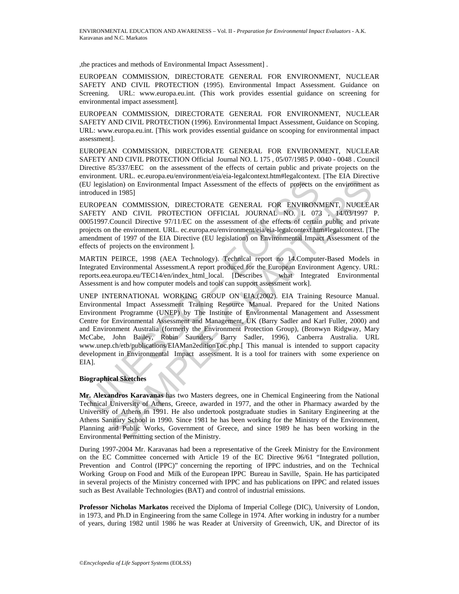,the practices and methods of Environmental Impact Assessment] .

EUROPEAN COMMISSION, DIRECTORATE GENERAL FOR ENVIRONMENT, NUCLEAR SAFETY AND CIVIL PROTECTION (1995). Environmental Impact Assessment. Guidance on Screening. URL: www.europa.eu.int. (This work provides essential guidance on screening for environmental impact assessment].

EUROPEAN COMMISSION, DIRECTORATE GENERAL FOR ENVIRONMENT, NUCLEAR SAFETY AND CIVIL PROTECTION (1996). Environmental Impact Assessment, Guidance on Scoping. URL: www.europa.eu.int. [This work provides essential guidance on scooping for environmental impact assessment].

EUROPEAN COMMISSION, DIRECTORATE GENERAL FOR ENVIRONMENT, NUCLEAR SAFETY AND CIVIL PROTECTION Official Journal NO. L 175 , 05/07/1985 P. 0040 - 0048 . Council Directive 85/337/EEC on the assessment of the effects of certain public and private projects on the environment. URL. ec.europa.eu/environment/eia/eia-legalcontext.htm#legalcontext. [The EIA Directive (EU legislation) on Environmental Impact Assessment of the effects of projects on the environment as introduced in 1985]

EUROPEAN COMMISSION, DIRECTORATE GENERAL FOR ENVIRONMENT, NUCLEAR SAFETY AND CIVIL PROTECTION OFFICIAL JOURNAL NO. L 073 , 14/03/1997 P. 00051997.Council Directive 97/11/EC on the assessment of the effects of certain public and private projects on the environment. URL. ec.europa.eu/environment/eia/eia-legalcontext.htm#legalcontext. [The amendment of 1997 of the EIA Directive (EU legislation) on Environmental Impact Assessment of the effects of projects on the environment ].

MARTIN PEIRCE, 1998 (AEA Technology). Technical report no 14.Computer-Based Models in Integrated Environmental Assessment.A report produced for the European Environment Agency. URL: reports.eea.europa.eu/TEC14/en/index\_html\_local. [Describes what Integrated Environmental Assessment is and how computer models and tools can support assessment work].

IU legislation) on Environmental Impact Assessment of the effects of projects on<br>troduced in 1985]<br>UNESCO – UNESCONDER CHEREAL FOR ENVIRONN<br>ORDER COMMISSION, DIRECTORATE GENERAL FOR ENVIRONN<br>AFETY AND CIVIL PROTECTION OFFI m. OLIC COLORED COMBINETY (The ENGLORED MORE AND THE CARL THAT AND CIVIL PROTECTION OFFICIAL FOR EFICENCIAL FOR ENVIRONMENT, NUCLEAN ND CIVIL PROTECTION OFFICIAL JOURNAL NO. L 073 , 14/03/1997 (NOMMISSION, DIRECTORATE GENE UNEP INTERNATIONAL WORKING GROUP ON EIA,(2002). EIA Training Resource Manual. Environmental Impact Assessment Training Resource Manual. Prepared for the United Nations Environment Programme (UNEP) by The Institute of Environmental Management and Assessment Centre for Environmental Assessment and Management, UK (Barry Sadler and Karl Fuller, 2000) and and Environment Australia (formerly the Environment Protection Group), (Bronwyn Ridgway, Mary McCabe, John Bailey, Robin Saunders, Barry Sadler, 1996), Canberra Australia. URL www.unep.ch/etb/publications/EIAMan2editionToc.php.[ This manual is intended to support capacity development in Environmental Impact assessment. It is a tool for trainers with some experience on EIA].

#### **Biographical Sketches**

**Mr. Alexandros Karavanas** has two Masters degrees, one in Chemical Engineering from the National Technical University of Athens, Greece, awarded in 1977, and the other in Pharmacy awarded by the University of Athens in 1991. He also undertook postgraduate studies in Sanitary Engineering at the Athens Sanitary School in 1990. Since 1981 he has been working for the Ministry of the Environment, Planning and Public Works, Government of Greece, and since 1989 he has been working in the Environmental Permitting section of the Ministry.

During 1997-2004 Mr. Karavanas had been a representative of the Greek Ministry for the Environment on the EC Committee concerned with Article 19 of the EC Directive 96/61 "Integrated pollution, Prevention and Control (IPPC)" concerning the reporting of IPPC industries, and on the Technical Working Group on Food and Milk of the European IPPC Bureau in Saville, Spain. He has participated in several projects of the Ministry concerned with IPPC and has publications on IPPC and related issues such as Best Available Technologies (BAT) and control of industrial emissions.

**Professor Nicholas Markatos** received the Diploma of Imperial College (DIC), University of London, in 1973, and Ph.D in Engineering from the same College in 1974. After working in industry for a number of years, during 1982 until 1986 he was Reader at University of Greenwich, UK, and Director of its